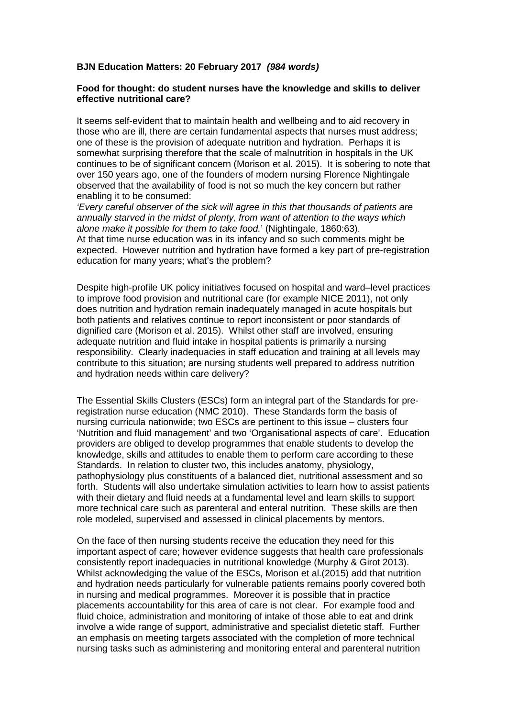## **BJN Education Matters: 20 February 2017** *(984 words)*

## **Food for thought: do student nurses have the knowledge and skills to deliver effective nutritional care?**

It seems self-evident that to maintain health and wellbeing and to aid recovery in those who are ill, there are certain fundamental aspects that nurses must address; one of these is the provision of adequate nutrition and hydration. Perhaps it is somewhat surprising therefore that the scale of malnutrition in hospitals in the UK continues to be of significant concern (Morison et al. 2015). It is sobering to note that over 150 years ago, one of the founders of modern nursing Florence Nightingale observed that the availability of food is not so much the key concern but rather enabling it to be consumed:

*'Every careful observer of the sick will agree in this that thousands of patients are annually starved in the midst of plenty, from want of attention to the ways which alone make it possible for them to take food.*' (Nightingale, 1860:63). At that time nurse education was in its infancy and so such comments might be expected. However nutrition and hydration have formed a key part of pre-registration education for many years; what's the problem?

Despite high-profile UK policy initiatives focused on hospital and ward–level practices to improve food provision and nutritional care (for example NICE 2011), not only does nutrition and hydration remain inadequately managed in acute hospitals but both patients and relatives continue to report inconsistent or poor standards of dignified care (Morison et al. 2015). Whilst other staff are involved, ensuring adequate nutrition and fluid intake in hospital patients is primarily a nursing responsibility. Clearly inadequacies in staff education and training at all levels may contribute to this situation; are nursing students well prepared to address nutrition and hydration needs within care delivery?

The Essential Skills Clusters (ESCs) form an integral part of the Standards for preregistration nurse education (NMC 2010). These Standards form the basis of nursing curricula nationwide; two ESCs are pertinent to this issue – clusters four 'Nutrition and fluid management' and two 'Organisational aspects of care'. Education providers are obliged to develop programmes that enable students to develop the knowledge, skills and attitudes to enable them to perform care according to these Standards. In relation to cluster two, this includes anatomy, physiology, pathophysiology plus constituents of a balanced diet, nutritional assessment and so forth. Students will also undertake simulation activities to learn how to assist patients with their dietary and fluid needs at a fundamental level and learn skills to support more technical care such as parenteral and enteral nutrition. These skills are then role modeled, supervised and assessed in clinical placements by mentors.

On the face of then nursing students receive the education they need for this important aspect of care; however evidence suggests that health care professionals consistently report inadequacies in nutritional knowledge (Murphy & Girot 2013). Whilst acknowledging the value of the ESCs, Morison et al.(2015) add that nutrition and hydration needs particularly for vulnerable patients remains poorly covered both in nursing and medical programmes. Moreover it is possible that in practice placements accountability for this area of care is not clear. For example food and fluid choice, administration and monitoring of intake of those able to eat and drink involve a wide range of support, administrative and specialist dietetic staff. Further an emphasis on meeting targets associated with the completion of more technical nursing tasks such as administering and monitoring enteral and parenteral nutrition